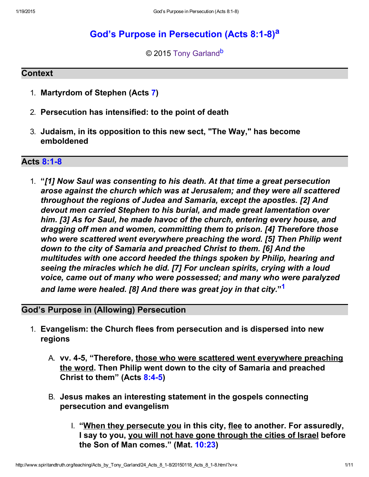# God's Purpose in Persecution (Acts 8:1-8)<sup>[a](#page-10-1)</sup>

<span id="page-0-2"></span><span id="page-0-1"></span>© 2015 [Tony Garland](http://www.spiritandtruth.org/id/tg.htm)<sup>[b](#page-10-0)</sup>

### **Context**

- 1. Martyrdom of Stephen (Acts [7\)](http://www.spiritandtruth.org/bibles/nasb/b44c007.htm#Acts_C7V1)
- 2. Persecution has intensified: to the point of death
- 3. Judaism, in its opposition to this new sect, "The Way," has become emboldened

## **Acts 8:1-8**

1. "[1] Now Saul was consenting to his death. At that time a great persecution arose against the church which was at Jerusalem; and they were all scattered throughout the regions of Judea and Samaria, except the apostles. [2] And devout men carried Stephen to his burial, and made great lamentation over him. [3] As for Saul, he made havoc of the church, entering every house, and dragging off men and women, committing them to prison. [4] Therefore those who were scattered went everywhere preaching the word. [5] Then Philip went down to the city of Samaria and preached Christ to them. [6] And the multitudes with one accord heeded the things spoken by Philip, hearing and seeing the miracles which he did. [7] For unclean spirits, crying with a loud voice, came out of many who were possessed; and many who were paralyzed and lame were healed. [8] And there was great joy in that city."<sup>[1](#page-9-0)</sup>

# God's Purpose in (Allowing) Persecution

- <span id="page-0-0"></span>1. Evangelism: the Church flees from persecution and is dispersed into new regions
	- A. vv. 45, "Therefore, those who were scattered went everywhere preaching the word. Then Philip went down to the city of Samaria and preached Christ to them" (Acts 8:4-5)
	- B. Jesus makes an interesting statement in the gospels connecting persecution and evangelism
		- I. "When they persecute you in this city, flee to another. For assuredly, I say to you, you will not have gone through the cities of Israel before the Son of Man comes." (Mat. [10:23\)](http://www.spiritandtruth.org/bibles/nasb/b40c010.htm#Mat._C10V23)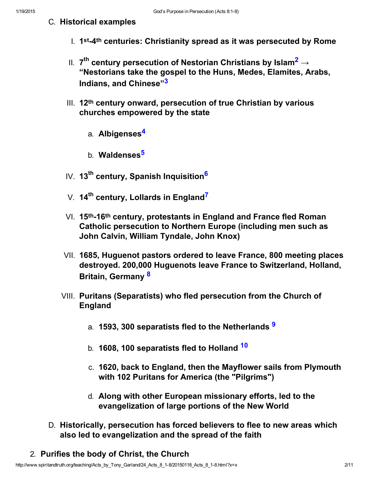- <span id="page-1-8"></span><span id="page-1-6"></span><span id="page-1-3"></span><span id="page-1-2"></span><span id="page-1-1"></span><span id="page-1-0"></span>C. Historical examples
	- $I.$  1<sup>st</sup>-4<sup>th</sup> centuries: Christianity spread as it was persecuted by Rome
	- II.  $\,$ 7<sup>th</sup> century persecution of Nestorian Christians by Islam $^{\mathbf{2}}\rightarrow$  $^{\mathbf{2}}\rightarrow$  $^{\mathbf{2}}\rightarrow$ "Nestorians take the gospel to the Huns, Medes, Elamites, Arabs, Indians, and Chinese"[3](#page-9-2)
	- III. 12th century onward, persecution of true Christian by various churches empowered by the state
		- a. Albigenses<sup>[4](#page-9-1)</sup>
		- b. Waldenses<sup>[5](#page-9-6)</sup>
	- IV. 13<sup>th</sup> century, Spanish Inquisition<sup>[6](#page-9-5)</sup>
	- V.  $14<sup>th</sup>$  century, Lollards in England<sup>[7](#page-9-3)</sup>
	- $VI.$  15<sup>th</sup>-16<sup>th</sup> century, protestants in England and France fled Roman Catholic persecution to Northern Europe (including men such as John Calvin, William Tyndale, John Knox)
	- VII. 1685, Huguenot pastors ordered to leave France, 800 meeting places destroyed. 200,000 Huguenots leave France to Switzerland, Holland, Britain, Germany [8](#page-9-8)
	- VIII. Puritans (Separatists) who fled persecution from the Church of England
		- a. 15[9](#page-9-7)3, 300 separatists fled to the Netherlands 9
		- b. 1608, [10](#page-9-9)0 separatists fled to Holland <sup>10</sup>
		- c. 1620, back to England, then the Mayflower sails from Plymouth with 102 Puritans for America (the "Pilgrims")
		- d. Along with other European missionary efforts, led to the evangelization of large portions of the New World
- <span id="page-1-7"></span><span id="page-1-5"></span><span id="page-1-4"></span>D. Historically, persecution has forced believers to flee to new areas which also led to evangelization and the spread of the faith
- 2. Purifies the body of Christ, the Church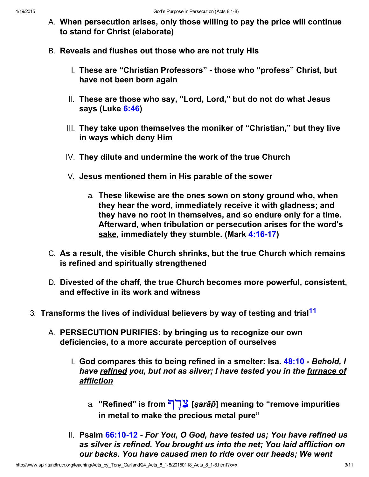- A. When persecution arises, only those willing to pay the price will continue to stand for Christ (elaborate)
- B. Reveals and flushes out those who are not truly His
	- I. These are "Christian Professors" those who "profess" Christ, but have not been born again
	- II. These are those who say, "Lord, Lord," but do not do what Jesus says (Luke [6:46\)](http://www.spiritandtruth.org/bibles/nasb/b42c006.htm#Luke_C6V46)
	- III. They take upon themselves the moniker of "Christian," but they live in ways which deny Him
	- IV. They dilute and undermine the work of the true Church
	- V. Jesus mentioned them in His parable of the sower
		- a. These likewise are the ones sown on stony ground who, when they hear the word, immediately receive it with gladness; and they have no root in themselves, and so endure only for a time. Afterward, when tribulation or persecution arises for the word's sake, immediately they stumble. (Mark 4:16-17)
- C. As a result, the visible Church shrinks, but the true Church which remains is refined and spiritually strengthened
- <span id="page-2-0"></span>D. Divested of the chaff, the true Church becomes more powerful, consistent, and effective in its work and witness
- 3. Transforms the lives of individual believers by way of testing and trial<sup>[11](#page-9-10)</sup>
	- A. PERSECUTION PURIFIES: by bringing us to recognize our own deficiencies, to a more accurate perception of ourselves
		- I. God compares this to being refined in a smelter: Isa.  $48:10$  Behold, I have refined you, but not as silver; I have tested you in the furnace of affliction
			- a. "Refined" is from  $\nabla$  [sarāp̄] meaning to "remove impurities in metal to make the precious metal pure"
		- II. Psalm 66:10-12 For You, O God, have tested us; You have refined us as silver is refined. You brought us into the net; You laid affliction on our backs. You have caused men to ride over our heads; We went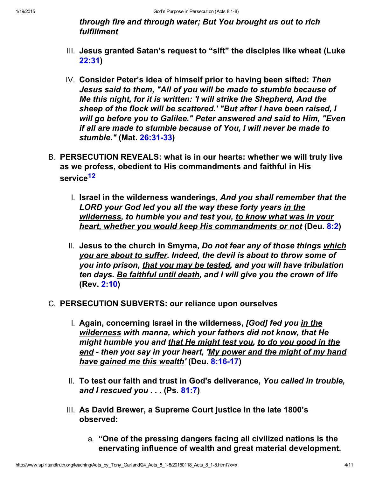through fire and through water; But You brought us out to rich fulfillment

- III. Jesus granted Satan's request to "sift" the disciples like wheat (Luke [22:31\)](http://www.spiritandtruth.org/bibles/nasb/b42c022.htm#Luke_C22V31)
- IV. Consider Peter's idea of himself prior to having been sifted: Then Jesus said to them, "All of you will be made to stumble because of Me this night, for it is written: 'I will strike the Shepherd, And the sheep of the flock will be scattered.' "But after I have been raised, I will go before you to Galilee." Peter answered and said to Him, "Even if all are made to stumble because of You, I will never be made to stumble." (Mat. 26:31-33)
- <span id="page-3-0"></span>B. PERSECUTION REVEALS: what is in our hearts: whether we will truly live as we profess, obedient to His commandments and faithful in His service<sup>[12](#page-9-11)</sup>
	- I. Israel in the wilderness wanderings, And you shall remember that the LORD your God led you all the way these forty years in the wilderness, to humble you and test you, to know what was in your heart, whether you would keep His commandments or not (Deu. [8:2\)](http://www.spiritandtruth.org/bibles/nasb/b05c008.htm#Deu._C8V2)
	- II. Jesus to the church in Smyrna, Do not fear any of those things which you are about to suffer. Indeed, the devil is about to throw some of you into prison, that you may be tested, and you will have tribulation ten days. Be faithful until death, and I will give you the crown of life (Rev. [2:10\)](http://www.spiritandtruth.org/bibles/nasb/b66c002.htm#Rev._C2V10)
- C. PERSECUTION SUBVERTS: our reliance upon ourselves
	- I. Again, concerning Israel in the wilderness, [God] fed you in the wilderness with manna, which your fathers did not know, that He might humble you and that He might test you, to do you good in the end - then you say in your heart, 'My power and the might of my hand have gained me this wealth' (Deu. 8:16-17)
	- II. To test our faith and trust in God's deliverance, You called in trouble, and I rescued you  $\ldots$  (Ps. [81:7\)](http://www.spiritandtruth.org/bibles/nasb/b19c081.htm#Ps._C81V7)
	- III. As David Brewer, a Supreme Court justice in the late 1800's observed:
		- a. "One of the pressing dangers facing all civilized nations is the enervating influence of wealth and great material development.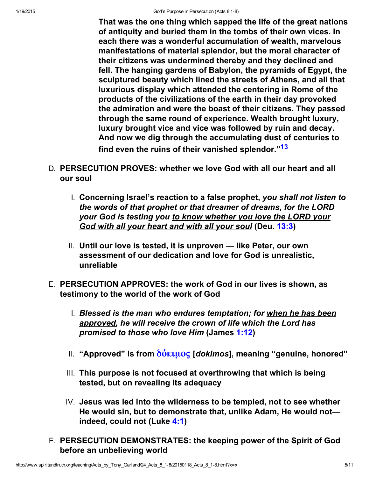<span id="page-4-0"></span>That was the one thing which sapped the life of the great nations of antiquity and buried them in the tombs of their own vices. In each there was a wonderful accumulation of wealth, marvelous manifestations of material splendor, but the moral character of their citizens was undermined thereby and they declined and fell. The hanging gardens of Babylon, the pyramids of Egypt, the sculptured beauty which lined the streets of Athens, and all that luxurious display which attended the centering in Rome of the products of the civilizations of the earth in their day provoked the admiration and were the boast of their citizens. They passed through the same round of experience. Wealth brought luxury, luxury brought vice and vice was followed by ruin and decay. And now we dig through the accumulating dust of centuries to find even the ruins of their vanished splendor."<sup>[13](#page-9-12)</sup>

- D. PERSECUTION PROVES: whether we love God with all our heart and all our soul
	- I. Concerning Israel's reaction to a false prophet, you shall not listen to the words of that prophet or that dreamer of dreams, for the LORD your God is testing you to know whether you love the LORD your God with all your heart and with all your soul (Deu. [13:3\)](http://www.spiritandtruth.org/bibles/nasb/b05c013.htm#Deu._C13V3)
	- II. Until our love is tested, it is unproven like Peter, our own assessment of our dedication and love for God is unrealistic, unreliable
- E. PERSECUTION APPROVES: the work of God in our lives is shown, as testimony to the world of the work of God
	- I. Blessed is the man who endures temptation; for when he has been approved, he will receive the crown of life which the Lord has promised to those who love Him (James [1:12\)](http://www.spiritandtruth.org/bibles/nasb/b59c001.htm#Jas._C1V12)
	- II. "Approved" is from  $\delta\acute{o}$ κιμος [dokimos], meaning "genuine, honored"
	- III. This purpose is not focused at overthrowing that which is being tested, but on revealing its adequacy
	- IV. Jesus was led into the wilderness to be templed, not to see whether He would sin, but to demonstrate that, unlike Adam, He would notindeed, could not (Luke [4:1\)](http://www.spiritandtruth.org/bibles/nasb/b42c004.htm#Luke_C4V1)
- F. PERSECUTION DEMONSTRATES: the keeping power of the Spirit of God before an unbelieving world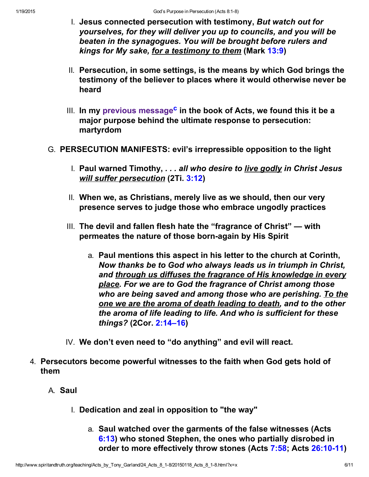- I. Jesus connected persecution with testimony, But watch out for yourselves, for they will deliver you up to councils, and you will be beaten in the synagogues. You will be brought before rulers and kings for My sake, for a testimony to them (Mark [13:9\)](http://www.spiritandtruth.org/bibles/nasb/b41c013.htm#Mark_C13V9)
- II. Persecution, in some settings, is the means by which God brings the testimony of the believer to places where it would otherwise never be heard
- <span id="page-5-0"></span>lll. In my [previous message](http://www.spiritandtruth.org/teaching/Acts_by_Tony_Garland/23_Acts_7_51-60/index.htm)<sup>[c](#page-10-2)</sup> in the book of Acts, we found this it be a major purpose behind the ultimate response to persecution: martyrdom
- G. PERSECUTION MANIFESTS: evil's irrepressible opposition to the light
	- I. Paul warned Timothy,  $\ldots$  all who desire to live godly in Christ Jesus will suffer persecution (2Ti. [3:12\)](http://www.spiritandtruth.org/bibles/nasb/b55c003.htm#2Ti._C3V12)
	- II. When we, as Christians, merely live as we should, then our very presence serves to judge those who embrace ungodly practices
	- III. The devil and fallen flesh hate the "fragrance of Christ" with permeates the nature of those born-again by His Spirit
		- a. Paul mentions this aspect in his letter to the church at Corinth, Now thanks be to God who always leads us in triumph in Christ, and through us diffuses the fragrance of His knowledge in every place. For we are to God the fragrance of Christ among those who are being saved and among those who are perishing. To the one we are the aroma of death leading to death, and to the other the aroma of life leading to life. And who is sufficient for these things? (2Cor. [2:14–16\)](http://www.spiritandtruth.org/bibles/nasb/b47c002.htm#2Cor._C2V14)
	- IV. We don't even need to "do anything" and evil will react.
- 4. Persecutors become powerful witnesses to the faith when God gets hold of them
	- A. Saul
		- I. Dedication and zeal in opposition to "the way"
			- a. Saul watched over the garments of the false witnesses (Acts [6:13\)](http://www.spiritandtruth.org/bibles/nasb/b44c006.htm#Acts_C6V13) who stoned Stephen, the ones who partially disrobed in order to more effectively throw stones (Acts [7:58;](http://www.spiritandtruth.org/bibles/nasb/b44c007.htm#Acts_C7V58) Acts 26:10-11)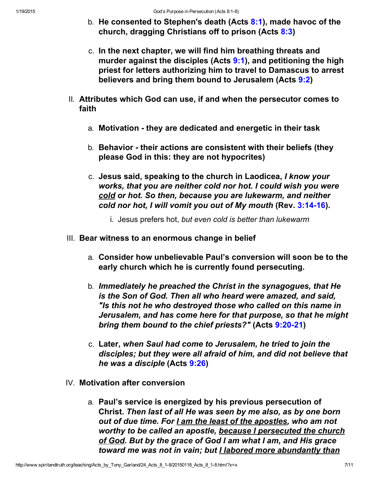- b. He consented to Stephen's death (Acts  $8:1$ ), made havoc of the church, dragging Christians off to prison (Acts [8:3\)](http://www.spiritandtruth.org/bibles/nasb/b44c008.htm#Acts_C8V3)
- c. In the next chapter, we will find him breathing threats and murder against the disciples (Acts [9:1\)](http://www.spiritandtruth.org/bibles/nasb/b44c009.htm#Acts_C9V1), and petitioning the high priest for letters authorizing him to travel to Damascus to arrest believers and bring them bound to Jerusalem (Acts [9:2\)](http://www.spiritandtruth.org/bibles/nasb/b44c009.htm#Acts_C9V2)
- II. Attributes which God can use, if and when the persecutor comes to faith
	- a. Motivation they are dedicated and energetic in their task
	- b. Behavior their actions are consistent with their beliefs (they please God in this: they are not hypocrites)
	- c. Jesus said, speaking to the church in Laodicea, I know your works, that you are neither cold nor hot. I could wish you were cold or hot. So then, because you are lukewarm, and neither cold nor hot, I will vomit you out of My mouth (Rev. 3:14-16).
		- i. Jesus prefers hot, but even cold is better than lukewarm
- III. Bear witness to an enormous change in belief
	- a. Consider how unbelievable Paul's conversion will soon be to the early church which he is currently found persecuting.
	- b. Immediately he preached the Christ in the synagogues, that He is the Son of God. Then all who heard were amazed, and said, "Is this not he who destroyed those who called on this name in Jerusalem, and has come here for that purpose, so that he might bring them bound to the chief priests?" (Acts 9:20-21)
	- c. Later, when Saul had come to Jerusalem, he tried to join the disciples; but they were all afraid of him, and did not believe that he was a disciple (Acts [9:26\)](http://www.spiritandtruth.org/bibles/nasb/b44c009.htm#Acts_C9V26)
- IV. Motivation after conversion
	- a. Paul's service is energized by his previous persecution of Christ. Then last of all He was seen by me also, as by one born out of due time. For I am the least of the apostles, who am not worthy to be called an apostle, because I persecuted the church of God. But by the grace of God I am what I am, and His grace toward me was not in vain; but I labored more abundantly than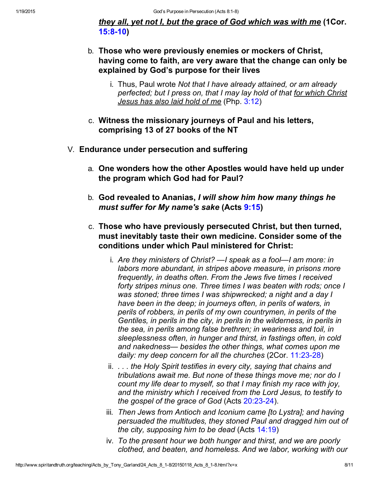they all, yet not I, but the grace of God which was with me (1Cor. 15:8-10)

- b. Those who were previously enemies or mockers of Christ, having come to faith, are very aware that the change can only be explained by God's purpose for their lives
	- i. Thus, Paul wrote Not that I have already attained, or am already perfected; but I press on, that I may lay hold of that for which Christ Jesus has also laid hold of me (Php. [3:12\)](http://www.spiritandtruth.org/bibles/nasb/b50c003.htm#Php._C3V12)
- c. Witness the missionary journeys of Paul and his letters, comprising 13 of 27 books of the NT
- V. Endurance under persecution and suffering
	- a. One wonders how the other Apostles would have held up under the program which God had for Paul?
	- b. God revealed to Ananias, I will show him how many things he must suffer for My name's sake (Acts [9:15\)](http://www.spiritandtruth.org/bibles/nasb/b44c009.htm#Acts_C9V15)
	- c. Those who have previously persecuted Christ, but then turned, must inevitably taste their own medicine. Consider some of the conditions under which Paul ministered for Christ:
		- i. Are they ministers of Christ? —I speak as a fool—I am more: in labors more abundant, in stripes above measure, in prisons more frequently, in deaths often. From the Jews five times I received forty stripes minus one. Three times I was beaten with rods; once I was stoned; three times I was shipwrecked; a night and a day I have been in the deep; in journeys often, in perils of waters, in perils of robbers, in perils of my own countrymen, in perils of the Gentiles, in perils in the city, in perils in the wilderness, in perils in the sea, in perils among false brethren; in weariness and toil, in sleeplessness often, in hunger and thirst, in fastings often, in cold and nakedness— besides the other things, what comes upon me daily: my deep concern for all the churches (2Cor. 11:23-28)
		- ii. . . . the Holy Spirit testifies in every city, saying that chains and tribulations await me. But none of these things move me; nor do I count my life dear to myself, so that I may finish my race with joy, and the ministry which I received from the Lord Jesus, to testify to the gospel of the grace of God (Acts  $20:23-24$ ).
		- iii. Then Jews from Antioch and Iconium came [to Lystra]; and having persuaded the multitudes, they stoned Paul and dragged him out of the city, supposing him to be dead (Acts [14:19\)](http://www.spiritandtruth.org/bibles/nasb/b44c014.htm#Acts_C14V19)
		- iv. To the present hour we both hunger and thirst, and we are poorly clothed, and beaten, and homeless. And we labor, working with our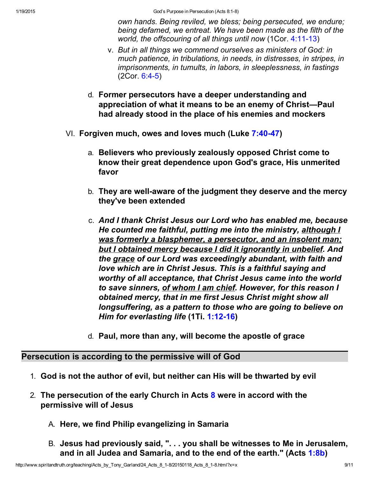own hands. Being reviled, we bless; being persecuted, we endure; being defamed, we entreat. We have been made as the filth of the world, the offscouring of all things until now  $(1Cor. 4:11-13)$ 

- v. But in all things we commend ourselves as ministers of God: in much patience, in tribulations, in needs, in distresses, in stripes, in imprisonments, in tumults, in labors, in sleeplessness, in fastings  $(2Cor. 6:4-5)$
- d. Former persecutors have a deeper understanding and appreciation of what it means to be an enemy of Christ—Paul had already stood in the place of his enemies and mockers
- VI. Forgiven much, owes and loves much (Luke 7:40-47)
	- a. Believers who previously zealously opposed Christ come to know their great dependence upon God's grace, His unmerited favor
	- b. They are well-aware of the judgment they deserve and the mercy they've been extended
	- c. And I thank Christ Jesus our Lord who has enabled me, because He counted me faithful, putting me into the ministry, although I was formerly a blasphemer, a persecutor, and an insolent man; but I obtained mercy because I did it ignorantly in unbelief. And the grace of our Lord was exceedingly abundant, with faith and love which are in Christ Jesus. This is a faithful saying and worthy of all acceptance, that Christ Jesus came into the world to save sinners, of whom I am chief. However, for this reason I obtained mercy, that in me first Jesus Christ might show all longsuffering, as a pattern to those who are going to believe on Him for everlasting life (1Ti. 1:12-16)
	- d. Paul, more than any, will become the apostle of grace

Persecution is according to the permissive will of God

- 1. God is not the author of evil, but neither can His will be thwarted by evil
- 2. The persecution of the early Church in Acts [8](http://www.spiritandtruth.org/bibles/nasb/b44c008.htm#Acts_C8V1) were in accord with the permissive will of Jesus
	- A. Here, we find Philip evangelizing in Samaria
	- B. Jesus had previously said, ". . . you shall be witnesses to Me in Jerusalem, and in all Judea and Samaria, and to the end of the earth." (Acts [1:8b\)](http://www.spiritandtruth.org/bibles/nasb/b44c001.htm#Acts_C1V8)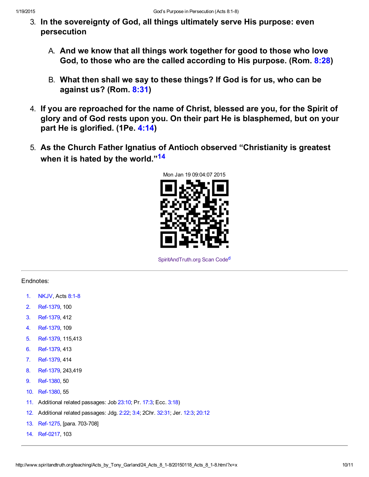- 3. In the sovereignty of God, all things ultimately serve His purpose: even persecution
	- A. And we know that all things work together for good to those who love God, to those who are the called according to His purpose. (Rom. [8:28\)](http://www.spiritandtruth.org/bibles/nasb/b45c008.htm#Rom._C8V28)
	- B. What then shall we say to these things? If God is for us, who can be against us? (Rom. [8:31\)](http://www.spiritandtruth.org/bibles/nasb/b45c008.htm#Rom._C8V31)
- 4. If you are reproached for the name of Christ, blessed are you, for the Spirit of glory and of God rests upon you. On their part He is blasphemed, but on your part He is glorified. (1Pe. [4:14\)](http://www.spiritandtruth.org/bibles/nasb/b60c004.htm#1Pe._C4V14)
- 5. As the Church Father Ignatius of Antioch observed "Christianity is greatest when it is hated by the world."<sup>[14](#page-9-14)</sup>

<span id="page-9-13"></span>

<span id="page-9-15"></span>[SpiritAndTruth.org Scan Code](http://www.spiritandtruth.org/)[d](#page-10-3)

### Endnotes:

- <span id="page-9-0"></span>[1.](#page-0-0) NKJV, Acts 8:1-8
- <span id="page-9-4"></span>[2.](#page-1-8) Ref-1379, 100
- <span id="page-9-2"></span>[3.](#page-1-0) Ref-1379, 412
- <span id="page-9-1"></span>[4.](#page-1-3) Ref-1379, 109
- <span id="page-9-6"></span>[5.](#page-1-6) Ref-1379, 115,413
- <span id="page-9-5"></span>[6.](#page-1-2) Ref-1379, 413
- <span id="page-9-3"></span>[7.](#page-1-1) Ref-1379, 414
- <span id="page-9-8"></span>[8.](#page-1-4) Ref-1379, 243,419
- <span id="page-9-7"></span>[9.](#page-1-5) Ref-1380, 50
- <span id="page-9-9"></span>[10.](#page-1-7) Ref-1380, 55
- <span id="page-9-10"></span>[11.](#page-2-0) Additional related passages: Job [23:10](http://www.spiritandtruth.org/bibles/nasb/b18c023.htm#Job_C23V10); Pr. [17:3](http://www.spiritandtruth.org/bibles/nasb/b20c017.htm#Pr._C17V3); Ecc. [3:18\)](http://www.spiritandtruth.org/bibles/nasb/b21c003.htm#Ecc._C3V18)
- <span id="page-9-11"></span>[12.](#page-3-0) Additional related passages: Jdg. [2:22;](http://www.spiritandtruth.org/bibles/nasb/b07c002.htm#Jdg._C2V22) [3:4;](http://www.spiritandtruth.org/bibles/nasb/b07c003.htm#Jdg._C3V4) 2Chr. [32:31](http://www.spiritandtruth.org/bibles/nasb/b14c032.htm#2Chr._C32V31); Jer. [12:3](http://www.spiritandtruth.org/bibles/nasb/b24c012.htm#Jer._C12V3); [20:12](http://www.spiritandtruth.org/bibles/nasb/b24c020.htm#Jer._C20V12)
- <span id="page-9-12"></span>[13.](#page-4-0) Ref-1275, [para. 703-708]
- <span id="page-9-14"></span>[14.](#page-9-13) Ref-0217, 103